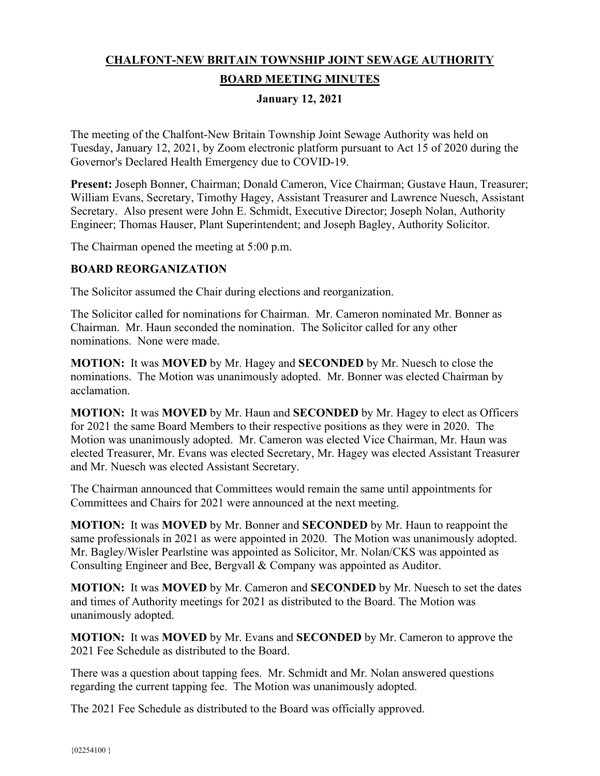# **CHALFONT-NEW BRITAIN TOWNSHIP JOINT SEWAGE AUTHORITY**

## **BOARD MEETING MINUTES**

## **January 12, 2021**

The meeting of the Chalfont-New Britain Township Joint Sewage Authority was held on Tuesday, January 12, 2021, by Zoom electronic platform pursuant to Act 15 of 2020 during the Governor's Declared Health Emergency due to COVID-19.

**Present:** Joseph Bonner, Chairman; Donald Cameron, Vice Chairman; Gustave Haun, Treasurer; William Evans, Secretary, Timothy Hagey, Assistant Treasurer and Lawrence Nuesch, Assistant Secretary. Also present were John E. Schmidt, Executive Director; Joseph Nolan, Authority Engineer; Thomas Hauser, Plant Superintendent; and Joseph Bagley, Authority Solicitor.

The Chairman opened the meeting at 5:00 p.m.

## **BOARD REORGANIZATION**

The Solicitor assumed the Chair during elections and reorganization.

The Solicitor called for nominations for Chairman. Mr. Cameron nominated Mr. Bonner as Chairman. Mr. Haun seconded the nomination. The Solicitor called for any other nominations. None were made.

**MOTION:** It was **MOVED** by Mr. Hagey and **SECONDED** by Mr. Nuesch to close the nominations. The Motion was unanimously adopted. Mr. Bonner was elected Chairman by acclamation.

**MOTION:** It was **MOVED** by Mr. Haun and **SECONDED** by Mr. Hagey to elect as Officers for 2021 the same Board Members to their respective positions as they were in 2020. The Motion was unanimously adopted. Mr. Cameron was elected Vice Chairman, Mr. Haun was elected Treasurer, Mr. Evans was elected Secretary, Mr. Hagey was elected Assistant Treasurer and Mr. Nuesch was elected Assistant Secretary.

The Chairman announced that Committees would remain the same until appointments for Committees and Chairs for 2021 were announced at the next meeting.

**MOTION:** It was **MOVED** by Mr. Bonner and **SECONDED** by Mr. Haun to reappoint the same professionals in 2021 as were appointed in 2020. The Motion was unanimously adopted. Mr. Bagley/Wisler Pearlstine was appointed as Solicitor, Mr. Nolan/CKS was appointed as Consulting Engineer and Bee, Bergvall & Company was appointed as Auditor.

**MOTION:** It was **MOVED** by Mr. Cameron and **SECONDED** by Mr. Nuesch to set the dates and times of Authority meetings for 2021 as distributed to the Board. The Motion was unanimously adopted.

**MOTION:** It was **MOVED** by Mr. Evans and **SECONDED** by Mr. Cameron to approve the 2021 Fee Schedule as distributed to the Board.

There was a question about tapping fees. Mr. Schmidt and Mr. Nolan answered questions regarding the current tapping fee. The Motion was unanimously adopted.

The 2021 Fee Schedule as distributed to the Board was officially approved.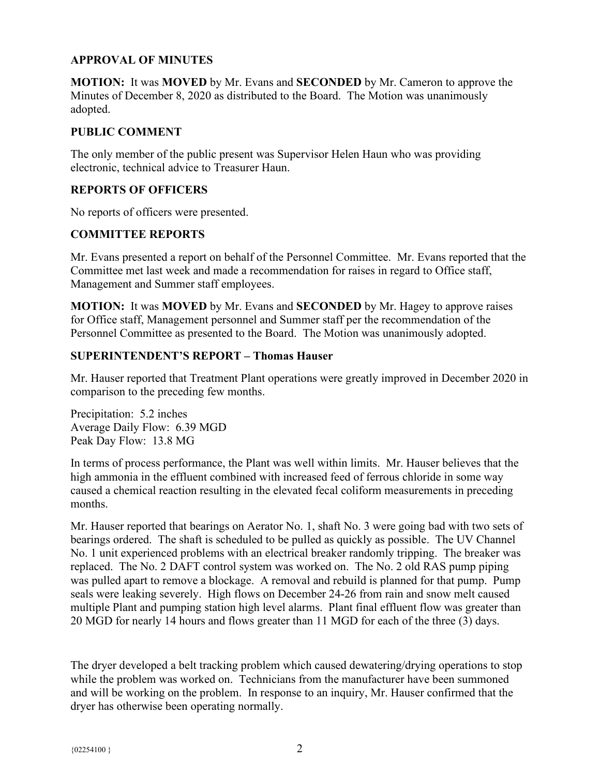## **APPROVAL OF MINUTES**

**MOTION:** It was **MOVED** by Mr. Evans and **SECONDED** by Mr. Cameron to approve the Minutes of December 8, 2020 as distributed to the Board. The Motion was unanimously adopted.

#### **PUBLIC COMMENT**

The only member of the public present was Supervisor Helen Haun who was providing electronic, technical advice to Treasurer Haun.

#### **REPORTS OF OFFICERS**

No reports of officers were presented.

## **COMMITTEE REPORTS**

Mr. Evans presented a report on behalf of the Personnel Committee. Mr. Evans reported that the Committee met last week and made a recommendation for raises in regard to Office staff, Management and Summer staff employees.

**MOTION:** It was **MOVED** by Mr. Evans and **SECONDED** by Mr. Hagey to approve raises for Office staff, Management personnel and Summer staff per the recommendation of the Personnel Committee as presented to the Board. The Motion was unanimously adopted.

#### **SUPERINTENDENT'S REPORT – Thomas Hauser**

Mr. Hauser reported that Treatment Plant operations were greatly improved in December 2020 in comparison to the preceding few months.

Precipitation: 5.2 inches Average Daily Flow: 6.39 MGD Peak Day Flow: 13.8 MG

In terms of process performance, the Plant was well within limits. Mr. Hauser believes that the high ammonia in the effluent combined with increased feed of ferrous chloride in some way caused a chemical reaction resulting in the elevated fecal coliform measurements in preceding months.

Mr. Hauser reported that bearings on Aerator No. 1, shaft No. 3 were going bad with two sets of bearings ordered. The shaft is scheduled to be pulled as quickly as possible. The UV Channel No. 1 unit experienced problems with an electrical breaker randomly tripping. The breaker was replaced. The No. 2 DAFT control system was worked on. The No. 2 old RAS pump piping was pulled apart to remove a blockage. A removal and rebuild is planned for that pump. Pump seals were leaking severely. High flows on December 24-26 from rain and snow melt caused multiple Plant and pumping station high level alarms. Plant final effluent flow was greater than 20 MGD for nearly 14 hours and flows greater than 11 MGD for each of the three (3) days.

The dryer developed a belt tracking problem which caused dewatering/drying operations to stop while the problem was worked on. Technicians from the manufacturer have been summoned and will be working on the problem. In response to an inquiry, Mr. Hauser confirmed that the dryer has otherwise been operating normally.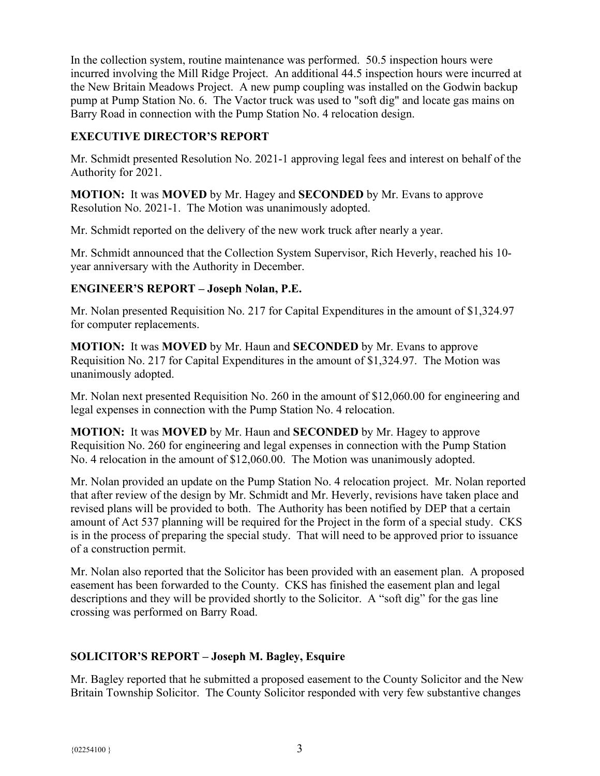In the collection system, routine maintenance was performed. 50.5 inspection hours were incurred involving the Mill Ridge Project. An additional 44.5 inspection hours were incurred at the New Britain Meadows Project. A new pump coupling was installed on the Godwin backup pump at Pump Station No. 6. The Vactor truck was used to "soft dig" and locate gas mains on Barry Road in connection with the Pump Station No. 4 relocation design.

## **EXECUTIVE DIRECTOR'S REPORT**

Mr. Schmidt presented Resolution No. 2021-1 approving legal fees and interest on behalf of the Authority for 2021.

**MOTION:** It was **MOVED** by Mr. Hagey and **SECONDED** by Mr. Evans to approve Resolution No. 2021-1. The Motion was unanimously adopted.

Mr. Schmidt reported on the delivery of the new work truck after nearly a year.

Mr. Schmidt announced that the Collection System Supervisor, Rich Heverly, reached his 10 year anniversary with the Authority in December.

## **ENGINEER'S REPORT – Joseph Nolan, P.E.**

Mr. Nolan presented Requisition No. 217 for Capital Expenditures in the amount of \$1,324.97 for computer replacements.

**MOTION:** It was **MOVED** by Mr. Haun and **SECONDED** by Mr. Evans to approve Requisition No. 217 for Capital Expenditures in the amount of \$1,324.97. The Motion was unanimously adopted.

Mr. Nolan next presented Requisition No. 260 in the amount of \$12,060.00 for engineering and legal expenses in connection with the Pump Station No. 4 relocation.

**MOTION:** It was **MOVED** by Mr. Haun and **SECONDED** by Mr. Hagey to approve Requisition No. 260 for engineering and legal expenses in connection with the Pump Station No. 4 relocation in the amount of \$12,060.00. The Motion was unanimously adopted.

Mr. Nolan provided an update on the Pump Station No. 4 relocation project. Mr. Nolan reported that after review of the design by Mr. Schmidt and Mr. Heverly, revisions have taken place and revised plans will be provided to both. The Authority has been notified by DEP that a certain amount of Act 537 planning will be required for the Project in the form of a special study. CKS is in the process of preparing the special study. That will need to be approved prior to issuance of a construction permit.

Mr. Nolan also reported that the Solicitor has been provided with an easement plan. A proposed easement has been forwarded to the County. CKS has finished the easement plan and legal descriptions and they will be provided shortly to the Solicitor. A "soft dig" for the gas line crossing was performed on Barry Road.

## **SOLICITOR'S REPORT – Joseph M. Bagley, Esquire**

Mr. Bagley reported that he submitted a proposed easement to the County Solicitor and the New Britain Township Solicitor. The County Solicitor responded with very few substantive changes